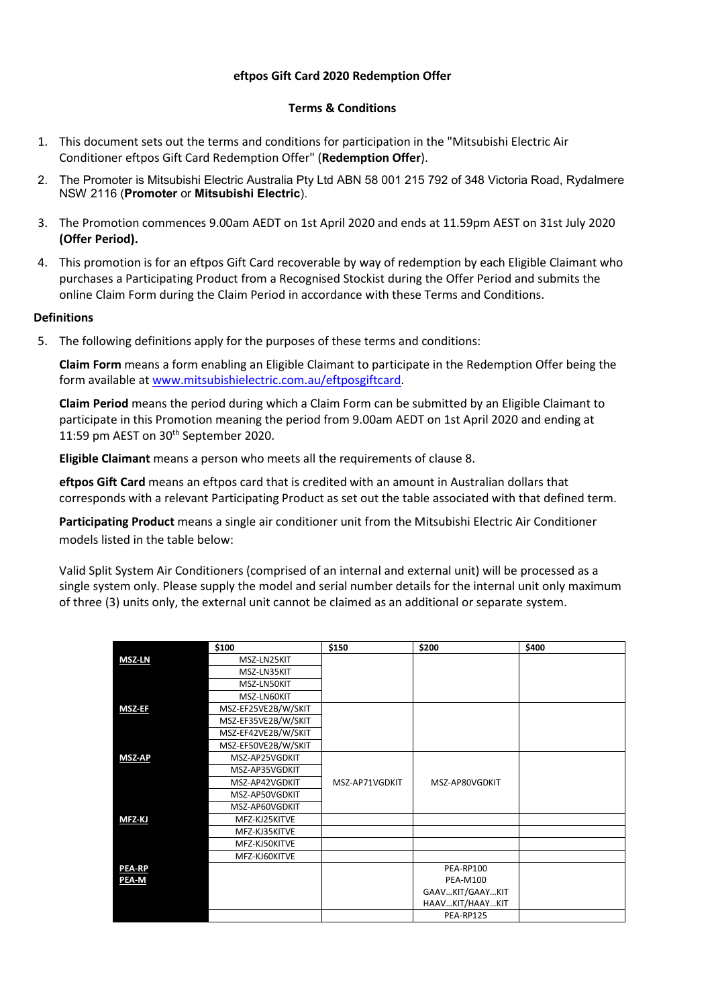# **eftpos Gift Card 2020 Redemption Offer**

## **Terms & Conditions**

- 1. This document sets out the terms and conditions for participation in the "Mitsubishi Electric Air Conditioner eftpos Gift Card Redemption Offer" (**Redemption Offer**).
- 2. The Promoter is Mitsubishi Electric Australia Pty Ltd ABN 58 001 215 792 of 348 Victoria Road, Rydalmere NSW 2116 (**Promoter** or **Mitsubishi Electric**).
- 3. The Promotion commences 9.00am AEDT on 1st April 2020 and ends at 11.59pm AEST on 31st July 2020 **(Offer Period).**
- 4. This promotion is for an eftpos Gift Card recoverable by way of redemption by each Eligible Claimant who purchases a Participating Product from a Recognised Stockist during the Offer Period and submits the online Claim Form during the Claim Period in accordance with these Terms and Conditions.

# **Definitions**

5. The following definitions apply for the purposes of these terms and conditions:

**Claim Form** means a form enabling an Eligible Claimant to participate in the Redemption Offer being the form available at [www.mitsubishielectric.com.au/eftposgiftcard.](http://www.mitsubishielectric.com.au/eftposgiftcard)

**Claim Period** means the period during which a Claim Form can be submitted by an Eligible Claimant to participate in this Promotion meaning the period from 9.00am AEDT on 1st April 2020 and ending at 11:59 pm AEST on 30<sup>th</sup> September 2020.

**Eligible Claimant** means a person who meets all the requirements of clause 8.

**eftpos Gift Card** means an eftpos card that is credited with an amount in Australian dollars that corresponds with a relevant Participating Product as set out the table associated with that defined term.

**Participating Product** means a single air conditioner unit from the Mitsubishi Electric Air Conditioner models listed in the table below:

Valid Split System Air Conditioners (comprised of an internal and external unit) will be processed as a single system only. Please supply the model and serial number details for the internal unit only maximum of three (3) units only, the external unit cannot be claimed as an additional or separate system.

|               | \$100               | \$150          | \$200           | \$400 |
|---------------|---------------------|----------------|-----------------|-------|
| <b>MSZ-LN</b> | MSZ-LN25KIT         |                |                 |       |
|               | MSZ-LN35KIT         |                |                 |       |
|               | MSZ-LN50KIT         |                |                 |       |
|               | MSZ-LN60KIT         |                |                 |       |
| <b>MSZ-EF</b> | MSZ-EF25VE2B/W/SKIT |                |                 |       |
|               | MSZ-EF35VE2B/W/SKIT |                |                 |       |
|               | MSZ-EF42VE2B/W/SKIT |                |                 |       |
|               | MSZ-EF50VE2B/W/SKIT |                |                 |       |
| <b>MSZ-AP</b> | MSZ-AP25VGDKIT      |                |                 |       |
|               | MSZ-AP35VGDKIT      |                |                 |       |
|               | MSZ-AP42VGDKIT      | MSZ-AP71VGDKIT | MSZ-AP80VGDKIT  |       |
|               | MSZ-AP50VGDKIT      |                |                 |       |
|               | MSZ-AP60VGDKIT      |                |                 |       |
| <b>MFZ KJ</b> | MFZ-KJ25KITVE       |                |                 |       |
|               | MFZ-KJ35KITVE       |                |                 |       |
|               | MFZ-KJ50KITVE       |                |                 |       |
|               | MFZ-KJ60KITVE       |                |                 |       |
| <b>PEA-RP</b> |                     |                | PEA-RP100       |       |
| PEA-M         |                     |                | <b>PEA-M100</b> |       |
|               |                     |                | GAAVKIT/GAAYKIT |       |
|               |                     |                | HAAVKIT/HAAYKIT |       |
|               |                     |                | PEA-RP125       |       |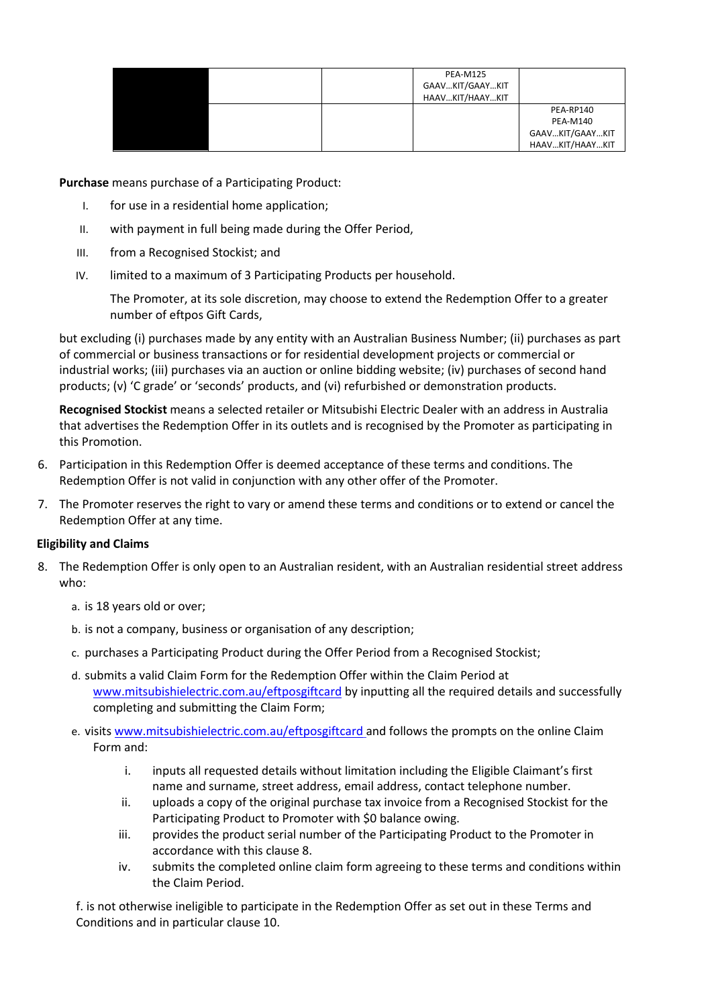| <b>PEA-M125</b><br>GAAVKIT/GAAYKIT<br>HAAVKIT/HAAYKIT |                                                 |
|-------------------------------------------------------|-------------------------------------------------|
|                                                       | PEA-RP140<br><b>PEA-M140</b><br>GAAVKIT/GAAYKIT |
|                                                       | HAAVKIT/HAAYKIT                                 |

**Purchase** means purchase of a Participating Product:

- I. for use in a residential home application;
- II. with payment in full being made during the Offer Period,
- III. from a [Recognised Stockist;](https://www.eftposcashcard.mitsubishielectric.com.au/stores) and
- IV. limited to a maximum of 3 Participating Products per household.

The Promoter, at its sole discretion, may choose to extend the Redemption Offer to a greater number of eftpos Gift Cards,

but excluding (i) purchases made by any entity with an Australian Business Number; (ii) purchases as part of commercial or business transactions or for residential development projects or commercial or industrial works; (iii) purchases via an auction or online bidding website; (iv) purchases of second hand products; (v) 'C grade' or 'seconds' products, and (vi) refurbished or demonstration products.

**Recognised Stockist** means a selected retailer or Mitsubishi Electric Dealer with an address in Australia that advertises the Redemption Offer in its outlets and is recognised by the Promoter as participating in this Promotion.

- 6. Participation in this Redemption Offer is deemed acceptance of these terms and conditions. The Redemption Offer is not valid in conjunction with any other offer of the Promoter.
- 7. The Promoter reserves the right to vary or amend these terms and conditions or to extend or cancel the Redemption Offer at any time.

### **Eligibility and Claims**

- 8. The Redemption Offer is only open to an Australian resident, with an Australian residential street address who:
	- a. is 18 years old or over;
	- b. is not a company, business or organisation of any description;
	- c. purchases a Participating Product during the Offer Period from a Recognised Stockist;
	- d. submits a valid Claim Form for the Redemption Offer within the Claim Period at [www.mitsubishielectric.com.au/eftposgiftcard](http://www.mitsubishielectric.com.au/eftposgiftcard) by inputting all the required details and successfully completing and submitting the Claim Form;
	- e. visit[s www.mitsubishielectric.com.au/eftposgiftcard](http://www.mitsubishielectric.com.au/eftposgiftcard) and follows the prompts on the online Claim Form and:
		- i. inputs all requested details without limitation including the Eligible Claimant's first name and surname, street address, email address, contact telephone number.
		- ii. uploads a copy of the original purchase tax invoice from a Recognised Stockist for the Participating Product to Promoter with \$0 balance owing.
		- iii. provides the product serial number of the Participating Product to the Promoter in accordance with this clause 8.
		- iv. submits the completed online claim form agreeing to these terms and conditions within the Claim Period.

f. is not otherwise ineligible to participate in the Redemption Offer as set out in these Terms and Conditions and in particular clause 10.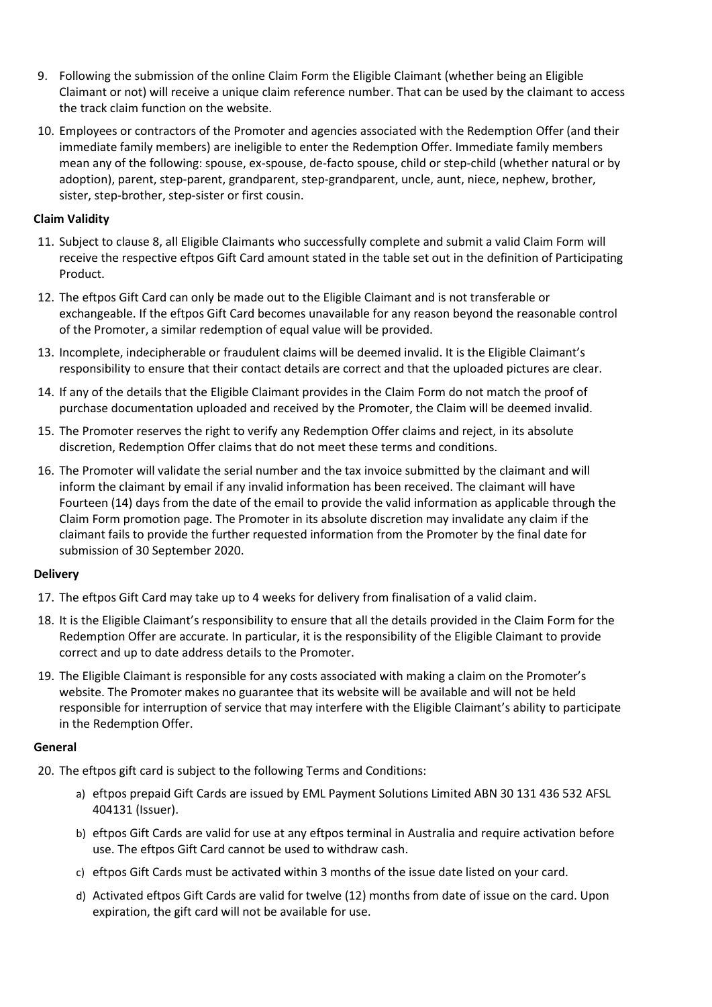- 9. Following the submission of the online Claim Form the Eligible Claimant (whether being an Eligible Claimant or not) will receive a unique claim reference number. That can be used by the claimant to access the track claim function on the website.
- 10. Employees or contractors of the Promoter and agencies associated with the Redemption Offer (and their immediate family members) are ineligible to enter the Redemption Offer. Immediate family members mean any of the following: spouse, ex-spouse, de-facto spouse, child or step-child (whether natural or by adoption), parent, step-parent, grandparent, step-grandparent, uncle, aunt, niece, nephew, brother, sister, step-brother, step-sister or first cousin.

## **Claim Validity**

- 11. Subject to clause 8, all Eligible Claimants who successfully complete and submit a valid Claim Form will receive the respective eftpos Gift Card amount stated in the table set out in the definition of Participating Product.
- 12. The eftpos Gift Card can only be made out to the Eligible Claimant and is not transferable or exchangeable. If the eftpos Gift Card becomes unavailable for any reason beyond the reasonable control of the Promoter, a similar redemption of equal value will be provided.
- 13. Incomplete, indecipherable or fraudulent claims will be deemed invalid. It is the Eligible Claimant's responsibility to ensure that their contact details are correct and that the uploaded pictures are clear.
- 14. If any of the details that the Eligible Claimant provides in the Claim Form do not match the proof of purchase documentation uploaded and received by the Promoter, the Claim will be deemed invalid.
- 15. The Promoter reserves the right to verify any Redemption Offer claims and reject, in its absolute discretion, Redemption Offer claims that do not meet these terms and conditions.
- 16. The Promoter will validate the serial number and the tax invoice submitted by the claimant and will inform the claimant by email if any invalid information has been received. The claimant will have Fourteen (14) days from the date of the email to provide the valid information as applicable through the Claim Form promotion page. The Promoter in its absolute discretion may invalidate any claim if the claimant fails to provide the further requested information from the Promoter by the final date for submission of 30 September 2020.

### **Delivery**

- 17. The eftpos Gift Card may take up to 4 weeks for delivery from finalisation of a valid claim.
- 18. It is the Eligible Claimant's responsibility to ensure that all the details provided in the Claim Form for the Redemption Offer are accurate. In particular, it is the responsibility of the Eligible Claimant to provide correct and up to date address details to the Promoter.
- 19. The Eligible Claimant is responsible for any costs associated with making a claim on the Promoter's website. The Promoter makes no guarantee that its website will be available and will not be held responsible for interruption of service that may interfere with the Eligible Claimant's ability to participate in the Redemption Offer.

### **General**

- 20. The eftpos gift card is subject to the following Terms and Conditions:
	- a) eftpos prepaid Gift Cards are issued by EML Payment Solutions Limited ABN 30 131 436 532 AFSL 404131 (Issuer).
	- b) eftpos Gift Cards are valid for use at any eftpos terminal in Australia and require activation before use. The eftpos Gift Card cannot be used to withdraw cash.
	- c) eftpos Gift Cards must be activated within 3 months of the issue date listed on your card.
	- d) Activated eftpos Gift Cards are valid for twelve (12) months from date of issue on the card. Upon expiration, the gift card will not be available for use.